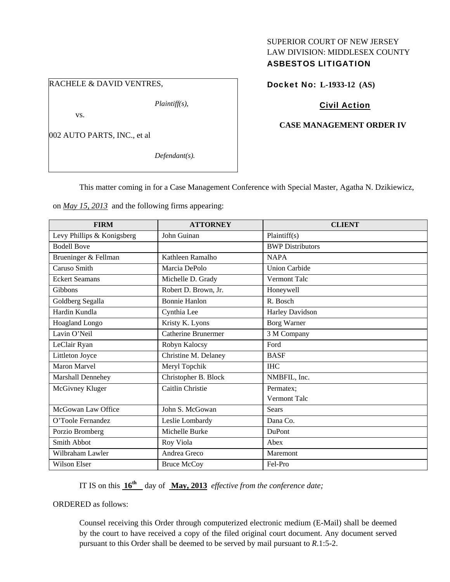# SUPERIOR COURT OF NEW JERSEY LAW DIVISION: MIDDLESEX COUNTY ASBESTOS LITIGATION

### RACHELE & DAVID VENTRES,

*Plaintiff(s),* 

vs.

002 AUTO PARTS, INC., et al

*Defendant(s).* 

## Docket No: **L-1933-12 (AS)**

# Civil Action

### **CASE MANAGEMENT ORDER IV**

This matter coming in for a Case Management Conference with Special Master, Agatha N. Dzikiewicz,

on *May 15, 2013* and the following firms appearing:

| <b>FIRM</b>                | <b>ATTORNEY</b>            | <b>CLIENT</b>           |
|----------------------------|----------------------------|-------------------------|
| Levy Phillips & Konigsberg | John Guinan                | Plaintiff(s)            |
| <b>Bodell Bove</b>         |                            | <b>BWP</b> Distributors |
| Brueninger & Fellman       | Kathleen Ramalho           | <b>NAPA</b>             |
| Caruso Smith               | Marcia DePolo              | <b>Union Carbide</b>    |
| <b>Eckert Seamans</b>      | Michelle D. Grady          | Vermont Talc            |
| <b>Gibbons</b>             | Robert D. Brown, Jr.       | Honeywell               |
| Goldberg Segalla           | <b>Bonnie Hanlon</b>       | R. Bosch                |
| Hardin Kundla              | Cynthia Lee                | Harley Davidson         |
| Hoagland Longo             | Kristy K. Lyons            | Borg Warner             |
| Lavin O'Neil               | <b>Catherine Brunermer</b> | 3 M Company             |
| LeClair Ryan               | Robyn Kalocsy              | Ford                    |
| Littleton Joyce            | Christine M. Delaney       | <b>BASF</b>             |
| <b>Maron Marvel</b>        | Meryl Topchik              | <b>IHC</b>              |
| Marshall Dennehey          | Christopher B. Block       | NMBFIL, Inc.            |
| McGivney Kluger            | Caitlin Christie           | Permatex:               |
|                            |                            | <b>Vermont Talc</b>     |
| McGowan Law Office         | John S. McGowan            | <b>Sears</b>            |
| O'Toole Fernandez          | Leslie Lombardy            | Dana Co.                |
| Porzio Bromberg            | Michelle Burke             | DuPont                  |
| Smith Abbot                | Roy Viola                  | Abex                    |
| Wilbraham Lawler           | Andrea Greco               | Maremont                |
| Wilson Elser               | <b>Bruce McCoy</b>         | Fel-Pro                 |

IT IS on this  $16^{th}$  day of May, 2013 *effective from the conference date;* 

ORDERED as follows:

Counsel receiving this Order through computerized electronic medium (E-Mail) shall be deemed by the court to have received a copy of the filed original court document. Any document served pursuant to this Order shall be deemed to be served by mail pursuant to *R*.1:5-2.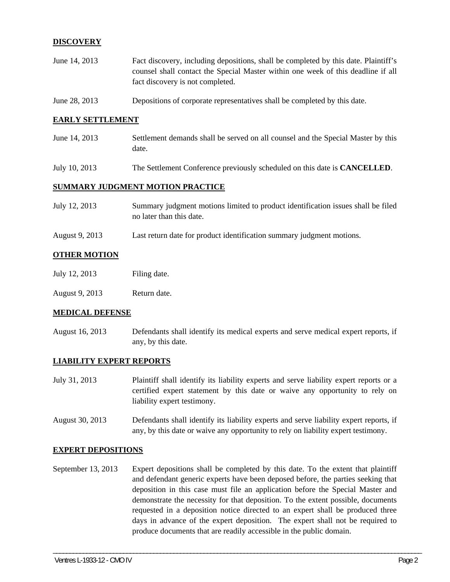### **DISCOVERY**

- June 14, 2013 Fact discovery, including depositions, shall be completed by this date. Plaintiff's counsel shall contact the Special Master within one week of this deadline if all fact discovery is not completed.
- June 28, 2013 Depositions of corporate representatives shall be completed by this date.

#### **EARLY SETTLEMENT**

- June 14, 2013 Settlement demands shall be served on all counsel and the Special Master by this date.
- July 10, 2013 The Settlement Conference previously scheduled on this date is **CANCELLED**.

#### **SUMMARY JUDGMENT MOTION PRACTICE**

| July 12, 2013 | Summary judgment motions limited to product identification issues shall be filed |
|---------------|----------------------------------------------------------------------------------|
|               | no later than this date.                                                         |

August 9, 2013 Last return date for product identification summary judgment motions.

### **OTHER MOTION**

- July 12, 2013 Filing date.
- August 9, 2013 Return date.

#### **MEDICAL DEFENSE**

August 16, 2013 Defendants shall identify its medical experts and serve medical expert reports, if any, by this date.

#### **LIABILITY EXPERT REPORTS**

- July 31, 2013 Plaintiff shall identify its liability experts and serve liability expert reports or a certified expert statement by this date or waive any opportunity to rely on liability expert testimony.
- August 30, 2013 Defendants shall identify its liability experts and serve liability expert reports, if any, by this date or waive any opportunity to rely on liability expert testimony.

#### **EXPERT DEPOSITIONS**

September 13, 2013 Expert depositions shall be completed by this date. To the extent that plaintiff and defendant generic experts have been deposed before, the parties seeking that deposition in this case must file an application before the Special Master and demonstrate the necessity for that deposition. To the extent possible, documents requested in a deposition notice directed to an expert shall be produced three days in advance of the expert deposition. The expert shall not be required to produce documents that are readily accessible in the public domain.

\_\_\_\_\_\_\_\_\_\_\_\_\_\_\_\_\_\_\_\_\_\_\_\_\_\_\_\_\_\_\_\_\_\_\_\_\_\_\_\_\_\_\_\_\_\_\_\_\_\_\_\_\_\_\_\_\_\_\_\_\_\_\_\_\_\_\_\_\_\_\_\_\_\_\_\_\_\_\_\_\_\_\_\_\_\_\_\_\_\_\_\_\_\_\_\_\_\_\_\_\_\_\_\_\_\_\_\_\_\_